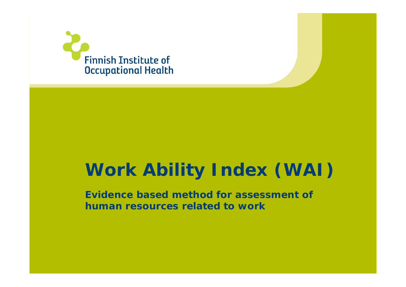

# **Work Ability Index (WAI)**

**Evidence based method for assessment of human resources related to work**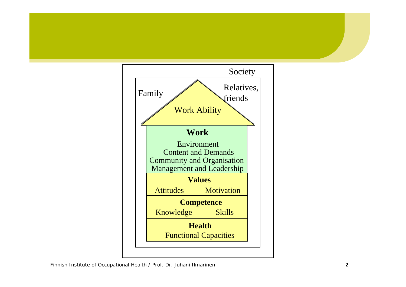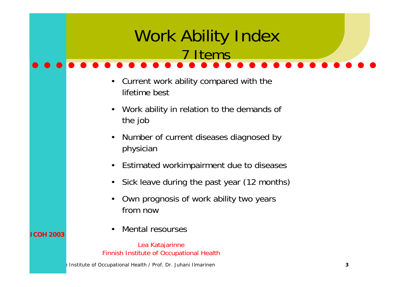#### Institute of Occupational Health / Prof. Dr. Juhani Ilmarinen **3** Work Ability Index 7 Items• Current work ability compared with the lifetime best• Work ability in relation to the demands of the job • Number of current diseases diagnosed by physician • Estimated workimpairment due to diseases  $\bullet$  Sick leave during the past year (12 months) • Own prognosis of work ability two years from now• Mental resoursesLea Katajarinne Finnish Institute of Occupational Health **ICOH 2003**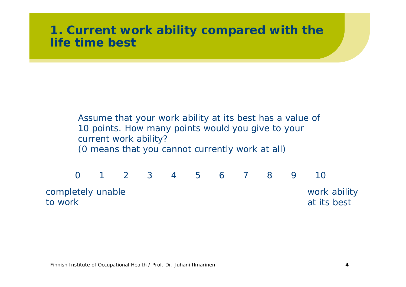## **1. Current work ability compared with the life time best**

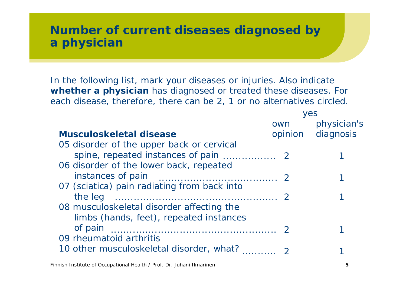## **Number of current diseases diagnosed by a physician**

In the following list, mark your diseases or injuries. Also indicate **whether a physician** has diagnosed or treated these diseases. For each disease, therefore, there can be 2, 1 or no alternatives circled.

|                                                                                      | yes |                   |  |
|--------------------------------------------------------------------------------------|-----|-------------------|--|
|                                                                                      | own | physician's       |  |
| Musculoskeletal disease                                                              |     | opinion diagnosis |  |
| 05 disorder of the upper back or cervical                                            |     |                   |  |
| 06 disorder of the lower back, repeated                                              |     |                   |  |
| 07 (sciatica) pain radiating from back into                                          |     |                   |  |
|                                                                                      |     |                   |  |
| 08 musculoskeletal disorder affecting the<br>limbs (hands, feet), repeated instances |     |                   |  |
| of pain<br>09 rheumatoid arthritis                                                   |     |                   |  |
| 10 other musculoskeletal disorder, what?                                             |     |                   |  |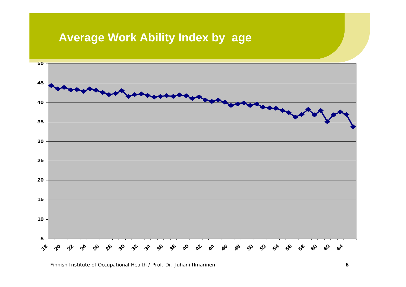# **Average Work Ability Index by age**

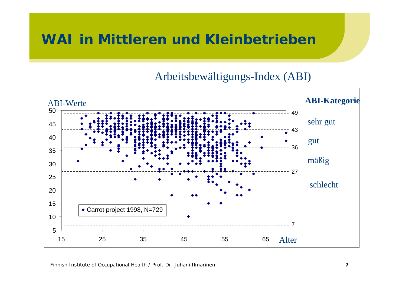# **WAI in Mittleren und Kleinbetrieben**

#### Arbeitsbewältigungs-Index (ABI)

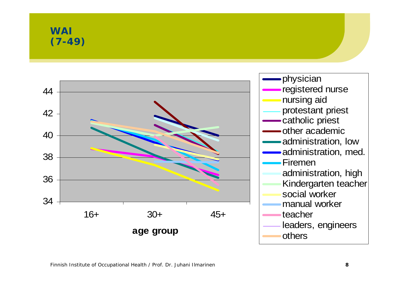**WAI(7-49)**

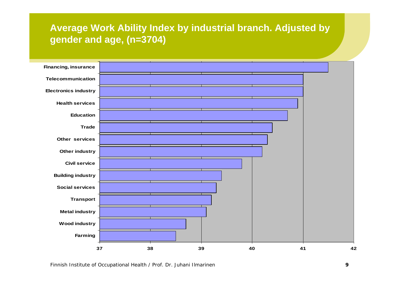#### **Average Work Ability Index by industrial branch. Adjusted by gender and age, (n=3704)**

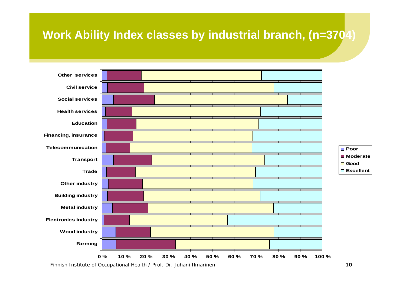# **Work Ability Index classes by industrial branch, (n=3704)**

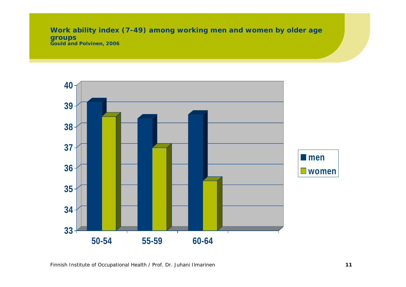**Work ability index (7-49) among working men and women by older age groups Gould and Polvinen, 2006**

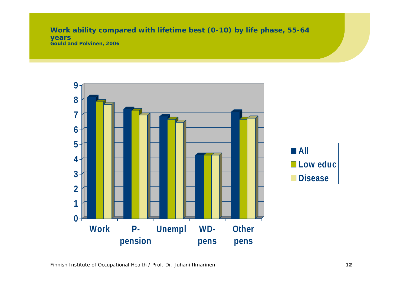**Work ability compared with lifetime best (0-10) by life phase, 55-64 years Gould and Polvinen, 2006**

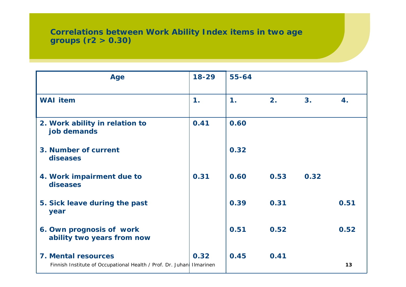#### **Correlations between Work Ability Index items in two age groups (r2 > 0.30)**

| <b>Age</b>                                                                                  | $18 - 29$     | $55 - 64$ |      |      |      |
|---------------------------------------------------------------------------------------------|---------------|-----------|------|------|------|
| <b>WAI</b> item                                                                             | $\mathbf 1$ . | 1.        | 2.   | 3.   | 4.   |
| 2. Work ability in relation to<br>job demands                                               | 0.41          | 0.60      |      |      |      |
| 3. Number of current<br>diseases                                                            |               | 0.32      |      |      |      |
| 4. Work impairment due to<br>diseases                                                       | 0.31          | 0.60      | 0.53 | 0.32 |      |
| 5. Sick leave during the past<br>year                                                       |               | 0.39      | 0.31 |      | 0.51 |
| 6. Own prognosis of work<br>ability two years from now                                      |               | 0.51      | 0.52 |      | 0.52 |
| 7. Mental resources<br>Finnish Institute of Occupational Health / Prof. Dr. Juhan Ilmarinen | 0.32          | 0.45      | 0.41 |      | 13   |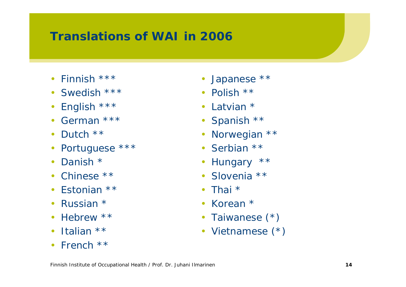# **Translations of WAI in 2006**

- Finnish \*\*\*
- Swedish \*\*\*
- •English \*\*\*
- German \*\*\*
- •• Dutch \*\*
- $\bullet$ Portuguese \*\*\*
- Danish \*
- Chinese \*\*
- Estonian \*\*
- •• Russian \*
- $\bullet$ • Hebrew \*\*
- Italian \*\*
- French \*\*
- Japanese \*\*
- Polish \*\*
- Latvian \*
- Spanish \*\*
- Norwegian \*\*
- Serbian \*\*
- Hungary \*\*
- Slovenia \*\*
- Thai \*
- Korean \*
- Taiwanese (\*)
- Vietnamese (\*)